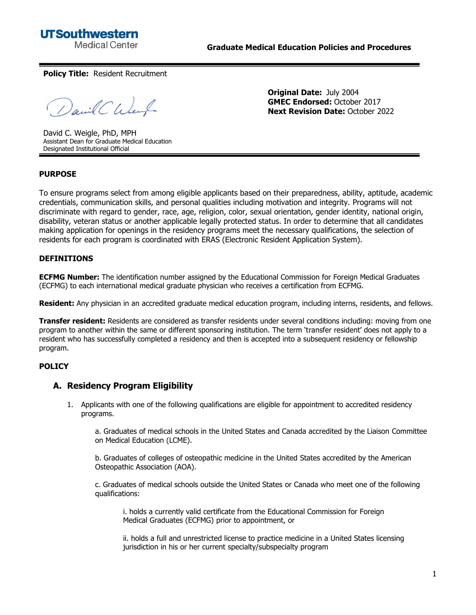**UTSouthwestern Medical Center** 

**Original Date:** July 2004

**Policy Title:** Resident Recruitment

David Chenf

David C. Weigle, PhD, MPH Assistant Dean for Graduate Medical Education Designated Institutional Official

**GMEC Endorsed:** October 2017 **Next Revision Date:** October 2022

### **PURPOSE**

To ensure programs select from among eligible applicants based on their preparedness, ability, aptitude, academic credentials, communication skills, and personal qualities including motivation and integrity. Programs will not discriminate with regard to gender, race, age, religion, color, sexual orientation, gender identity, national origin, disability, veteran status or another applicable legally protected status. In order to determine that all candidates making application for openings in the residency programs meet the necessary qualifications, the selection of residents for each program is coordinated with ERAS (Electronic Resident Application System).

#### **DEFINITIONS**

**ECFMG Number:** The identification number assigned by the Educational Commission for Foreign Medical Graduates (ECFMG) to each international medical graduate physician who receives a certification from ECFMG.

**Resident:** Any physician in an accredited graduate medical education program, including interns, residents, and fellows.

**Transfer resident:** Residents are considered as transfer residents under several conditions including: moving from one program to another within the same or different sponsoring institution. The term 'transfer resident' does not apply to a resident who has successfully completed a residency and then is accepted into a subsequent residency or fellowship program.

#### **POLICY**

#### **A. Residency Program Eligibility**

1. Applicants with one of the following qualifications are eligible for appointment to accredited residency programs.

a. Graduates of medical schools in the United States and Canada accredited by the Liaison Committee on Medical Education (LCME).

b. Graduates of colleges of osteopathic medicine in the United States accredited by the American Osteopathic Association (AOA).

c. Graduates of medical schools outside the United States or Canada who meet one of the following qualifications:

i. holds a currently valid certificate from the Educational Commission for Foreign Medical Graduates (ECFMG) prior to appointment, or

ii. holds a full and unrestricted license to practice medicine in a United States licensing jurisdiction in his or her current specialty/subspecialty program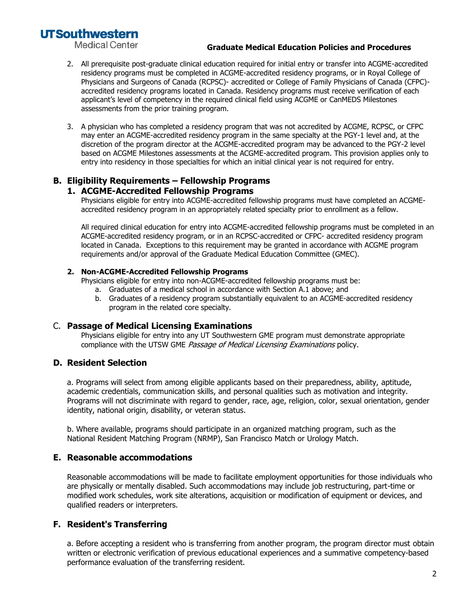# **UTSouthwestern**

**Medical Center** 

### **Graduate Medical Education Policies and Procedures**

- 2. All prerequisite post-graduate clinical education required for initial entry or transfer into ACGME-accredited residency programs must be completed in ACGME-accredited residency programs, or in Royal College of Physicians and Surgeons of Canada (RCPSC)- accredited or College of Family Physicians of Canada (CFPC) accredited residency programs located in Canada. Residency programs must receive verification of each applicant's level of competency in the required clinical field using ACGME or CanMEDS Milestones assessments from the prior training program.
- 3. A physician who has completed a residency program that was not accredited by ACGME, RCPSC, or CFPC may enter an ACGME-accredited residency program in the same specialty at the PGY-1 level and, at the discretion of the program director at the ACGME-accredited program may be advanced to the PGY-2 level based on ACGME Milestones assessments at the ACGME-accredited program. This provision applies only to entry into residency in those specialties for which an initial clinical year is not required for entry.

#### **B. Eligibility Requirements – Fellowship Programs 1. ACGME-Accredited Fellowship Programs**

Physicians eligible for entry into ACGME-accredited fellowship programs must have completed an ACGMEaccredited residency program in an appropriately related specialty prior to enrollment as a fellow.

All required clinical education for entry into ACGME-accredited fellowship programs must be completed in an ACGME-accredited residency program, or in an RCPSC-accredited or CFPC- accredited residency program located in Canada. Exceptions to this requirement may be granted in accordance with ACGME program requirements and/or approval of the Graduate Medical Education Committee (GMEC).

## **2. Non-ACGME-Accredited Fellowship Programs**

Physicians eligible for entry into non-ACGME-accredited fellowship programs must be:

- a. Graduates of a medical school in accordance with Section A.1 above; and
- b. Graduates of a residency program substantially equivalent to an ACGME-accredited residency program in the related core specialty.

# C. **Passage of Medical Licensing Examinations**

Physicians eligible for entry into any UT Southwestern GME program must demonstrate appropriate compliance with the UTSW GME Passage of Medical Licensing Examinations policy.

# **D. Resident Selection**

a. Programs will select from among eligible applicants based on their preparedness, ability, aptitude, academic credentials, communication skills, and personal qualities such as motivation and integrity. Programs will not discriminate with regard to gender, race, age, religion, color, sexual orientation, gender identity, national origin, disability, or veteran status.

b. Where available, programs should participate in an organized matching program, such as the National Resident Matching Program (NRMP), San Francisco Match or Urology Match.

# **E. Reasonable accommodations**

Reasonable accommodations will be made to facilitate employment opportunities for those individuals who are physically or mentally disabled. Such accommodations may include job restructuring, part-time or modified work schedules, work site alterations, acquisition or modification of equipment or devices, and qualified readers or interpreters.

# **F. Resident's Transferring**

a. Before accepting a resident who is transferring from another program, the program director must obtain written or electronic verification of previous educational experiences and a summative competency-based performance evaluation of the transferring resident.